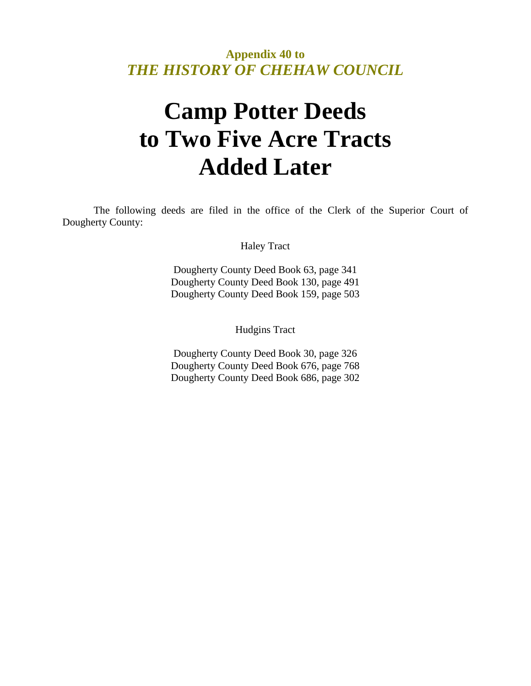**Appendix 40 to**  *THE HISTORY OF CHEHAW COUNCIL* 

## **Camp Potter Deeds to Two Five Acre Tracts Added Later**

 The following deeds are filed in the office of the Clerk of the Superior Court of Dougherty County:

Haley Tract

Dougherty County Deed Book 63, page 341 Dougherty County Deed Book 130, page 491 Dougherty County Deed Book 159, page 503

Hudgins Tract

Dougherty County Deed Book 30, page 326 Dougherty County Deed Book 676, page 768 Dougherty County Deed Book 686, page 302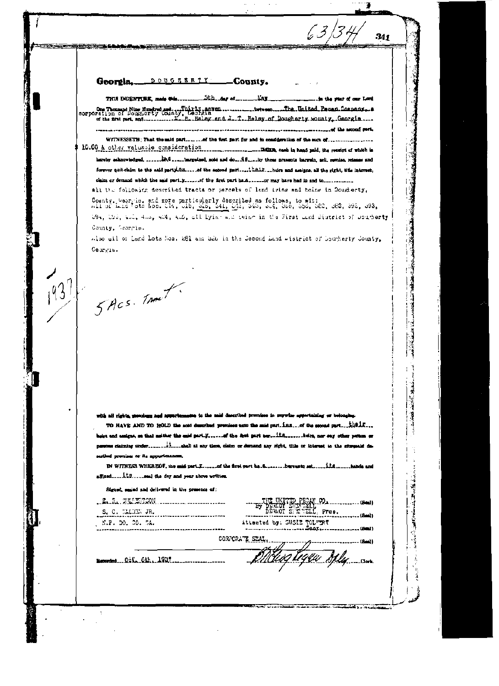DOUGRERTY County. Georgia.

<del>ن سری کے بعد م</del>

5th day of ..... **MAX** THIS IMPENTURE, made this.... in the way of our Lord and the second part.

 $63/3$ 

 $341$ 

**Local March** 

 $\label{eq:1} \mathcal{L} = \{u_1, \ldots, u_n\}$ 

"我们在我们的情况下,我们

WITNESSETH; That the said part........ of the first part for and in condigention of the sum of.... 

hareby schnowledged, ........ Wed .....targetzed, sold and do... 28.... by these presents bargain, sell, revaise, release and forever quit-claim to the said partifica......of the second part.....thair...burs and assigns, all the right, title interest, 

all the following described tracts or parcels of land tying and baing to Dougherty,

County, Georgie, and more particularly described as follows, to wit:<br>All of Lind fots hos. 114, 115, 216, 241, 243, 249, 314, 320, 556, 382, 383, 392, 393, 194, 1941, 2011, 401, 302, 306, all lyins all teins in the First Lund District of Doutherty County, Seorgia.

also all of Lend Lots Nos. 281 and S20 in the Second Land wistrict of Dourherty County.  $Gen.$ 

SACS. TANK

 $1937$ 

ama to the said described promises to purwise aspectations or belonging. with all visible, unanisms and assumptions

TO HAVE AND TO HOLD the sold described previese age the said part. inn...of the second part....th@if.... erthed premies or its appartm

IN WITNESS WHEREOF, the mid part T. ...... of the first part ha-fi- ....... hereuse set ..... if the ...... hands and 

fliguet, senied and delivered in the presence of:

\_\_L. R. QUESTON ............................  $S, C, TAL2X, JR,$ N.P. DO. 00. 5A.

B,

Attested by: SUSIE TOLTERT

CORPORATE STAL.

Bearded Oct. 6th, 1937.

11944 Mly<sub>un</sub>con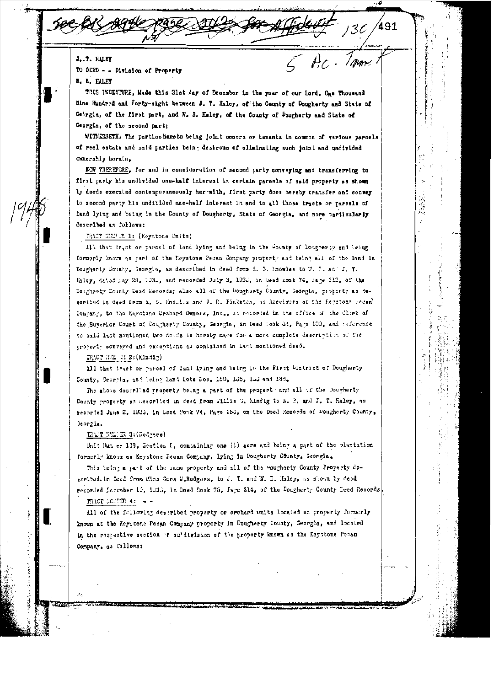J. T. RALET TO DEED - - Division of Property

**7. B. HALEY** 

THIS INCENTURE, Made this 31st day of December in the year of our Lord, One Thousand Hine Hundred and forty-sight between J. T. Haley, of the County of Dougherty and State of Geirgia, of the first part, and W. S. Haley, of the County of Dougherty and State of Georgia, of the second part;

*I mme* 

WITHESSETH: The partleshere to being joint owners or tenants in common of various parcels of real estate and said parties being desirous of eliminating such joint and undivided concrabip herain,

KON INEREFORE, for and in consideration of second party conveying and transferring to first party his undivided one-half interest in certain parcels of said property as shown by deeds executed contemporaneously her with, first party does hereby transfer and convey to second party his undibided one-helf interest in and to all those tracts or parcels of land lying and being in the County of Dougherty, State of Georgia, and more particularly described as follows:

MAST ELM R 1: (Keystone Units)

All that tract or parcel of land lying and being in the County of Dougherty and teing formerly known as gart of the Neystone Pecan Company property and being all of the land in Dougherty County, Reorgia, as described in deed from E. B. Hnowles to W. P. ac [J. T. Haley, dated may 28, 103d, and recorded July 3, 193d, in Reed mook 74, lage 812, of the Dougherty County Deed Records; also all of the Dougherty County, Georgia, property as deseribed in deed from h. D. Ano.les and J. R. Pinksten, as Receivers of the Revetons recan' Company, to the Keystone Orchard Owners, Inc., as recorded in the effice of the Click of the Superior Court of Dougherty County, Georgia, in feed look 31, Page 100, and reference to said last mentioned two deeds is hereby make for a more complete description of the property conveyed and exceptions as contained in last mentioned deed.

TRACT REM BR Z: (Klndig)

All that tract or parcel of land lying and being in the First Wistrict of Dougharty County, Secryla, ind being Land Lots Nos. 150, 135, 133 and 188.

The above described property being a part of the propert and all of the Dougherty County property as described in deed from Sillis 3. Eindig to S. 3. and J. T. Haley, as recorded June 2, 1935, in Leed Ponk 74, Page 255, on the Deed Records of Doughorty County,  $\lambda$ eorzia.

TREF NELER S: (Rodgers)

Unit Sum er 139, Jection 8, containing one (1) acre and being a part of the plantation formerly known as Keystone Pecan Company, lying in Dougberty County, Georgia.

This being a part of the same property and all of the wougherty County Property described. in Deed from Miss Cora E.Radgers, to J. T. and W. D. Maley, as shown by deed recorded Lassaber 10, 1030, in Doed Book 75, Fage 814, of the Dougherty County Deed Records. TRACT NONTRAS --

All of the following described property or orchard units located on property formerly known at the Reystone Pecan Company property in Dougherty County, Georgia, and located in the respective section or su'division of the property known as the Esysteme Pecan Company, as follows: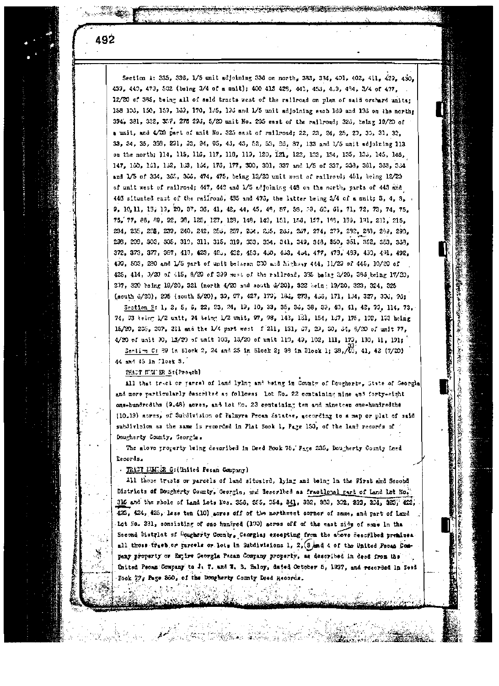Section A: 335, 336, 1/5 unit sdjoining 336 on north, 333, 334, 401, 402, 411, 429, 430, 433, 440, 473, 532 (being 3/4 of a mnit); 400 413 423, 441, 453, 459, 434, 3/4 of 437. 12/20 of 385, being all of said tracts west of the railroad on plan of said orchard units; 158 103, 150, 159, 169, 170, 185, 196 and 1/5 unit adjoining each 169 and 196 on the north; 394, 381, 382, 387, 275 29d, 5/20 unit No. 205 east of the railroad; 32d, being 19/20 of a unit, and 4/00 part of anit No. 325 east of railroad; 22, 23, 24, 25, 27, 30, 31, 32. 33, 34, 35, 333, 231, 33, 94, 05, 43, 43, 52, 53, 85, 37, 133 and 1/5 unit adjoining 113 on the north; 114, 115, 116, 117, 118, 119, 120, 121, 122, 123, 134, 135, 135, 145, 146, 147, 160, 161, 162, 163, 164, 176, 177, 300, 301, 337 and 1/5 of 337, 338, 361, 383, 364 and 1/5 of 334, 365, 366, 474, 475, being 13/20 unit west of railroad; 451, being 12/20 of unit west of railroad; 447, 448 and L/S adjoining 448 on the north, parts of 448 and 446 situated east of the railroad, 435 and 476, the latter being 3/4 of a unit; 3, 4, 8, 9, 10, 11, 13, 13, 20, 37, 36, 41, 42, 44, 45, 48, 57, 58, 59, 60, 61, 71, 72, 73, 74, 75, 75, 77, 88, 89, 92, 98, 125, 127, 128, 149, 149, 151, 153, 157, 199, 199, 191, 211, 215, 234, 235, 236, 239, 240, 242, 256, 257, 254, 255, 261, 267, 274, 279, 292, 293, 293, 290, 298, 299, 303, 305, 319, 311, 315, 319, 333, 334, 341, 349, 348, 350, 351, 352, 353, 333, 372, 373, 377, 387, 417, 423, 425, 432, 453, 450, 453, 454, 477, 479, 483, 430, 431, 492, 439, 503, 280 and 1/5 part of unit between 000 and highway 444, 11/29 of 445, 10/20 of 425, 414, 3/20 of 415, 8/29 of 399 west of the railroad, 335 being 3/20, 388 being 17/20, 207, 320 being 19/20, 321 (north 4/20 and south 6/20), 322 bein; 19/20, 323, 324, 325 (south 6/20), 295 (south 5/20), 39, 97, 427, 179, 18d, 273, 4d6, 171, 1J4, 3Z7, 3Od, 9d;

Section B: 1, 2, 5, 6, 22, 23, 24, 19, 10, 33, 35, 36, 38, 39, 40, 41, 42, 33, 114, 73, 74, 03 teing 1/2 unit, 74 teing 1/2 unit, 97, 98, 142, 181, 154, 137, 175, 192, 193 heing 15/20, 205, 207, 211 and the 1/4 part west f 211, 131, 37, 29, 30, 34, 5/20 of unit 77, 4/20 of unit 30, 13/29 of unit 103, 13/29 of unit 119, 49, 102, 111, 173, 130, 11, 191;

Sentim C: 39 in Block 2, 24 and 25 in Block 2; 88 in Block 1; 38, 40, 41, 42 (7/20) 44 and 45 in Tlock S.

THATT NIME BY S: (Progch)

All that track or parcel of land lylng and being in County of Dougherty, State of Georgia and more particularly descrited as follows: Lot No. 22 containing nine and forty-eight ons-hundredths (9.48) acres, and lot Mo. 23 containing ten and nineteen one-hundredthe (10.19) acres, of Subdivision of Palmyra Pecan fatates, according to a map or plat of said subdivision as the same is recorded in Plat Sook 1, Page 150, of the land records of Dougherty County, Seorgia.

The above property being described in Deed Book 75, Face 235, Dougherty County Leed Records.

. TRACT EUMLER G: (United Pecan Company)

محم<sup>ل</sup> با مارین

All those trasts or parcels of land situated, lying and being in the First and Second Districts of Dougherty County, Georgia, and described as fractional part of Land Lot No. 316 and the mbole of Land Lots Eos. 356, 355, 354, 341, 382, 383, 392, 293, 394, 393, 422; 423, 424, 425, less ten (10) acres off of the northwest corner of same, and part of Land lot No. 231, consisting of one huntred (100) acres off of the east side of same in the Second District of Dougherty County, Georgias excepting from the above described premises all those trace or tarcels or lots in Subdivisions 1, 2, (3 and 4 of the United Pecan Company property or Empire Georgia Pacan Company property, as described in deed from the United Pecan Company to J. T. and T. B. Haley, dated October 5, 1937, and recorded In Deed Fook 77, Page 350, of the Dougherty County Deed Records.

 $\mathcal{H}(\mathbb{R}^{n}) \cong \mathcal{H}(\mathbb{R}^{n}) \otimes \mathcal{H}$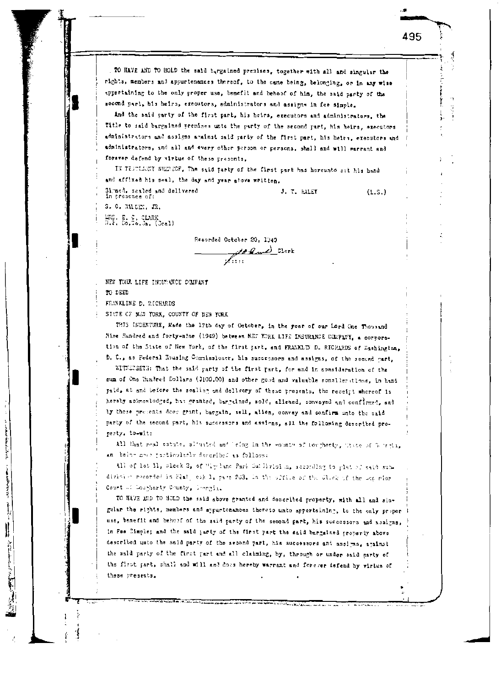TO HAVE AND TO HOLD the said targained presises, together with all and singular the rights, members and appurtenances thereof, to the same being, belonging, or in any wise appertaining to the only proper use, benefit and behoof of him, the said party of the second part, his heirs, executors, administrators and assigns in fee simple.

And the said party of the first part, his heirs, executors and administrators, the fitle to said bargained premises unto the party of the second part, his heirs, executors administrators and assigns against said party of the first part, his heirs, executors and administrators, and all and every other person or persons, shall and will sarrant and forever defend by virtue of these presents.

J. T. HALEY

IN TESTISSNY WHEREOF. The said party of the first part has hereunto set his hand and affixed his seal, the day and year above written.

Signed, scaled and delivered in presence of S. C. MALLEY, JR. MRS. E. C. CLARK<br>R.P. Do.Co.Ja. (Ceal)

 $(L.S.)$ 

495

Recorded October 20, 1940 At Rand Clerk  $\mathscr{N}_{i:i+1}$ 

NEW TORK LIFE INCOMMUCE COMPANY

TO DEED

ì

i<br>T

**Bandalo** 

 $\parallel$ 

**Continued by School School** 

FRANKLINE D. RICHARDS

SIMPE OF NEW YORK, COUNTY OF NEW YORK

THIS INDENTURE, Made the 17th day of October, in the year of our Lord One Thousand Nine Rundred and forty-nine (1949) between NET YORK LIFE INSURANCE COMPANY, a corroration of the State of New York, of the first part, and FRANKLIN D. RIGHARDS of Washington, D. C., as Federal Housing Commissioner, his successors and assigns, of the second part,

WITHERMSTH: That the said party of the first part, for and in consideration of the sum of One Sindred Dollars (\$100.00) and other good and valuable sonsiderations, in hand paid, at and before the sealing and delivery of these presents, the receipt whereof is hereby acknowledged, has granted, bargained, sold, aliened, convoyed and confirmed, and by these presents does grant, bargain, sell, alien, convey and confirm unto the said party of the second part, his successors and assigns, all the following described property, to-wit:

All that real estate, situated and leing in the wounty of Poughesty, Thate of Tourtin, an being mach particularly described as follows:

All of let M, sleck 2, of "Ly land Park Sullivision, seconding to plat of said subdivision recorded is Flat, olk 1, pare 203. In the office of the Click of the Lap rior Court of Lourherty County, Deergia.

TO HAVE MID TO HOLD the said above granted and described property, with all and singalar the rights, members and sypurtenances thereto unto appertaining, to the only proper use, benefit and behasf of the said party of the second part, his successors and assigns, in Fee Cimple; and the said party of the first part the said bargained property above described unto the said party of the second part, his successors and assigns, against the said party of the first part and all claiming, by, through or under said party of the first part, shall and will and does hereby warrant and forever defend by virtue of these presents.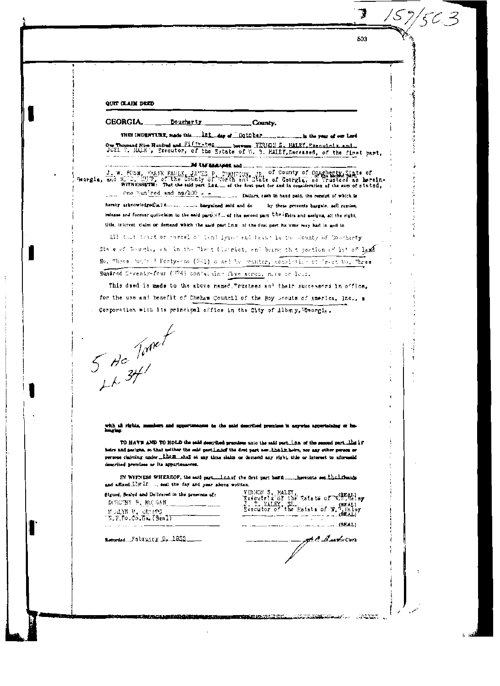| 503                                                                                                                                                                                                                                                                                                                                                                                                                                                               |
|-------------------------------------------------------------------------------------------------------------------------------------------------------------------------------------------------------------------------------------------------------------------------------------------------------------------------------------------------------------------------------------------------------------------------------------------------------------------|
|                                                                                                                                                                                                                                                                                                                                                                                                                                                                   |
|                                                                                                                                                                                                                                                                                                                                                                                                                                                                   |
|                                                                                                                                                                                                                                                                                                                                                                                                                                                                   |
| QUIT CLAIM DEED                                                                                                                                                                                                                                                                                                                                                                                                                                                   |
| <b>GEORGIA.</b><br>Dougharty<br>County.                                                                                                                                                                                                                                                                                                                                                                                                                           |
| THIS INDENTURE, made this  LEL day of Detector  in the year of our Lord                                                                                                                                                                                                                                                                                                                                                                                           |
| One Thousand Nine Hundred and Fifty-two heavens YERION S. HALEY, Executed x and.<br>JOEL T. HALE', Executor, of the Estate of W. S. HALEY, Deceased, of the first part,                                                                                                                                                                                                                                                                                           |
| M AN MAXAR and<br>J. W. BUSH, TANK FAULK, JA'ES P. CUMITION, JR. of County of Dougherty State of                                                                                                                                                                                                                                                                                                                                                                  |
| WITNESSETH: That the said part las __ of the Arat part for and in consideration of the sum of stated.<br>One lian red and ng/100 - - Dollars, rath in hand paid, the receipt of which is<br>$\pm$ . $\pm$ . $\pm$                                                                                                                                                                                                                                                 |
| hereby acknowledged a land and do<br>by these presents bargain, sell remise,                                                                                                                                                                                                                                                                                                                                                                                      |
| release and forever quit-claim to the said partly find of the second part. Unable and assignat all the right,<br>title, interest, cluim or demand which the said partices of the first part ha Veor may had in and to                                                                                                                                                                                                                                             |
| All that theit or inneed of land lying end teins in the Sounty of Coucharty                                                                                                                                                                                                                                                                                                                                                                                       |
| Ste east Tournie, and in the Minit blockiet, and being that portion of lat of land                                                                                                                                                                                                                                                                                                                                                                                |
| No. Three thirs I Forty-can (E41) o ned by manter, consisting of Irect No. Three                                                                                                                                                                                                                                                                                                                                                                                  |
| Hundred Seventy-four (374) containing five acres, mire or less,                                                                                                                                                                                                                                                                                                                                                                                                   |
| This deed is made to the above named "rustees and their successors in office.<br>for the use and benefit of Cheham Council of the Boy Boouts of America, Inc., a                                                                                                                                                                                                                                                                                                  |
| Corporation with its principal office in the City of Albany, Chornie,                                                                                                                                                                                                                                                                                                                                                                                             |
|                                                                                                                                                                                                                                                                                                                                                                                                                                                                   |
|                                                                                                                                                                                                                                                                                                                                                                                                                                                                   |
|                                                                                                                                                                                                                                                                                                                                                                                                                                                                   |
| 5 Ho Tomet                                                                                                                                                                                                                                                                                                                                                                                                                                                        |
| 44.34                                                                                                                                                                                                                                                                                                                                                                                                                                                             |
|                                                                                                                                                                                                                                                                                                                                                                                                                                                                   |
|                                                                                                                                                                                                                                                                                                                                                                                                                                                                   |
| with all rights, members and spperimanes; is the said described propless in agrovise apperiateing or be-                                                                                                                                                                                                                                                                                                                                                          |
| kmarlag.<br>TO HAVE AND TO HOLD the said described premises unto the said part. LGs of the second part. the i.r.                                                                                                                                                                                                                                                                                                                                                  |
| beirs and assigns, so that belihar the said partinued the drut part nor their, beirs, nor any other person or<br>persons claiming under them shall at any time slaim or demand any right title or interest to aforesaid<br>described promises or its appurienances.                                                                                                                                                                                               |
| IN WITNESS WHEREOF, the said part lengt the first part hard hereunts set the liberals                                                                                                                                                                                                                                                                                                                                                                             |
| and effixed the AE.  seat the day and year above written,<br>Signed, Sealed and Dollvered in the presence of:                                                                                                                                                                                                                                                                                                                                                     |
| VERGON S. HALEY,<br>Executrix of the Estate of W.R.Holey<br>J. T. HALEY, SE.<br>Executor of the Estate of W. Heloy<br>DOROTHY P. MULGAN                                                                                                                                                                                                                                                                                                                           |
| MARINE V. CREEPS<br><b>15.P.Do.Co.Gm.(Seal)</b>                                                                                                                                                                                                                                                                                                                                                                                                                   |
| A Rawbourg<br>Letorded Fabruary 9. 1853                                                                                                                                                                                                                                                                                                                                                                                                                           |
|                                                                                                                                                                                                                                                                                                                                                                                                                                                                   |
|                                                                                                                                                                                                                                                                                                                                                                                                                                                                   |
|                                                                                                                                                                                                                                                                                                                                                                                                                                                                   |
|                                                                                                                                                                                                                                                                                                                                                                                                                                                                   |
|                                                                                                                                                                                                                                                                                                                                                                                                                                                                   |
| ter and the second company of the second and the second company of the second company of the second second second and second second second second second second second second second second second second second second second<br>a de la propincia del propincia del propincia del contenente del contenente del contenente del contenente del<br>Contenente del contenente del contenente del contenente del contenente del contenente del contenente del conte |

 $\frac{1}{2}$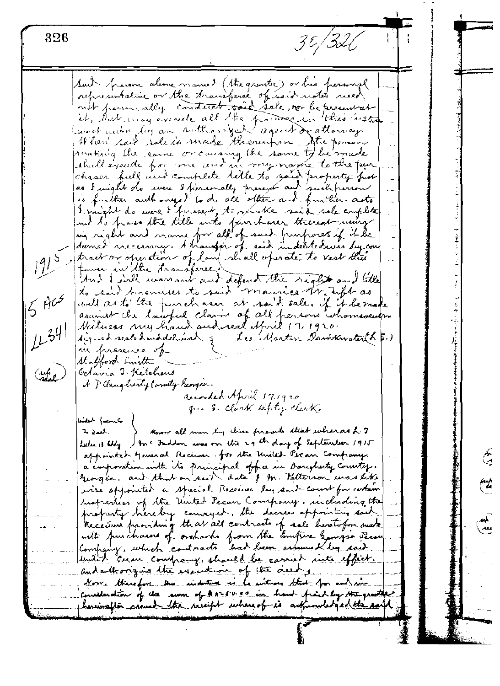3 t / 326 326 Suit person alone manuel (the grantic) or his personal representative or the transferse of said notes need not person ally conduct said sale, nor be present at it, that may execute all the process in this instruction When said rate is made theoremform, the person making the same or causing the same to be made shall execute for me and in my name to the pur chaser full und complete title to said property post is further authorized to do all other and funther acts I might do were I firesent, to make said sale complete und d'o frais the title unto fairchaser thereat uning durined necessary. A transfer of said indeletedness by contract or operation of law shall operate to vest this source in the transferee. And I will warrant and defent the right and little to said premises to said maurice trable as  $5405$ unell as to the functional at said sale. If it be made against the lawful claims of all persons whomsoever Hathers my hand and real Afric 17, 1920.  $LL^{34}$ signed sealed and delivered 5 Lee Martin Davidnater (L. 5.) m presence of Stafford Luitte (up) Octavia J. Ketchaus I Place berty Carnety Reorgen. Recorded April 17,1920 que S. Clark septy clerk. atah funci know all men by chine presents that wheras L. 7  $J^*$   $\mathcal{F}$ feelings they ) and Indian was on the 29 th day of September 1915 appointed general Receiver. for the United Peran Company. a confroration with the principal office in Darighesty Cornetif. georgia, and that on sail date of M. Salterson was like wise appointed a special Receiver by said-court for certain profreshes of the United Pecan Company, including the property hereby conveyed. the decrees appointing said ᄴ kecium fromding that all contracts of sale heretofon make with purchases of orchards from the Empire Georgia Pease united oncon company, should be carried into effect. and authorizing the execution of the deed from therefore this induction is to interest that for entrance concederation of the sum of arrows a in hand fraid by the granter hasinafter around the receipt where of is acknowledged the said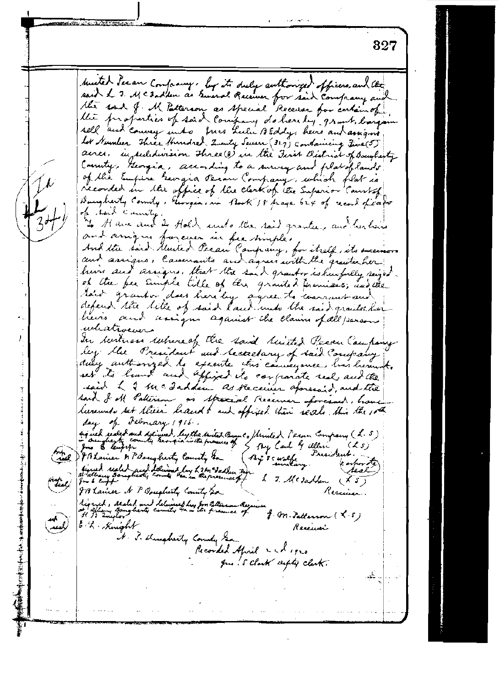827 husted Secan Company, by its duly authorized officers and the said L. J. Mc Zadden as Sineral Receiver for said Company and the properties of said company do here by grant, bargain sell and convey unto fus hulu 12 Eddy here and assigns lot Number Three Hundred Lucuty Seven (327) containing Five (5) acres, in subdivision three (3) we the Time Bistrial of Boughesty County, Georgia, according to a survey and plat of lands. of the Empire Georgia Person Company, which flat is recorded in the office of the clerk of the Superior Courtof Daugherty County, Georgea, in Book 18 prayer 624 of record fixed of tack County "In A are and be Hold unto the raid grantee, and her hairs and arrignes for even in feathingle's And the said Munted Pecan Company, for itself, its successors and assigns, Cammants and agrees with the granter her. him and assigns. that the said granter is hurfully singed. of the fee simple title of the granted premises, and the taint granter does here by agree to comment and heirs and assigns against the claims of all persons whatsoevers In writings restreve of the said ruited Pecan Company ley blue President and becaretary of said Company duly authorized to execute this counsequence, has here to set to limit and appied its confronte real and the said I I be addden as Receiver apresaid, and the raid of oll Patterson as special Receiver aforesaid, how leever not set their hand & and appixed their reals. this the 10th day of February 1916. signal realed and delivered, legithe saited Beauto Stricted Person Company (2.5) and I'M Lavier & PSoughesty County to By scualke dined realed and delivered by his mital and 1 7. Megablen (X5) IB Lamer N P Doughesty County Sa Receiver. Signed, Alaled and delivered by for College in Alguna<br>at 19 Euglas: Bangherty county have the presence of a f. M. Patterson (L.S.)<br>H. B. Zwylov 6 h Knight Receiver I. P. Dugheity County Sam Recorded Afril and 1920 Jus. S. Clark supty clerk.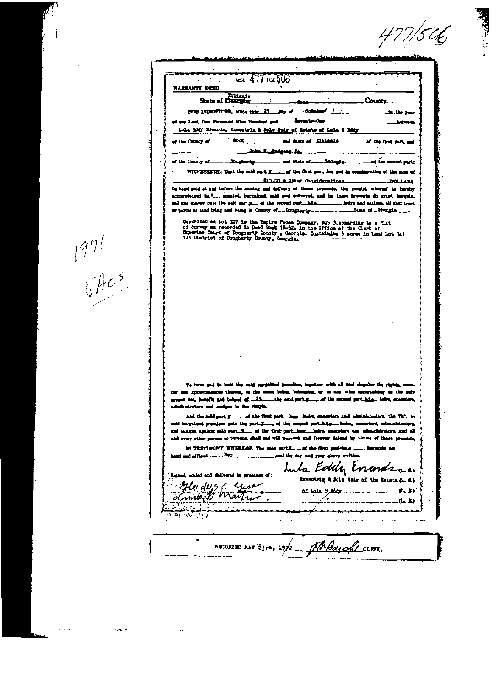$477/546$ 

| .<br>Dlioni a<br>County.<br>State of Contains<br><b>Ootakes</b><br>THIS INDENTURE, Mide this 21<br>of our Lead, One Thomsaid Nine Hundred pad<br><u>. Mente-des</u><br>Lula Ridy Edwards, Expostrix & Sole Hoir of Briste of Lala 5 Ridy<br>Dook<br>$\frac{1}{2}$ and State of $\frac{1}{2}$ . The state $\frac{1}{2}$<br>af the first met, and<br>laka I. Budgess Jr.<br>of the mount part:<br>WITHERSETH: That the said part F _____ d'the first part, for and in consideration of the sum of<br>\$10.00 & Qther, Considerations<br><b>ARALLOC.</b> -<br>In hand paid at sad before the maiing and dairery of these presents, the receipt whereof is hereby<br>acknowledged ha." granted, bargained, and and enteroyed, and by these presents do grant, bargain,<br>Described as Lot 327 in the Empire Pecan Company, Sub 3, accerding to a Flat<br>of Survey as recorded in Deed Snok 15-624 in the Office of the Clerk of<br>Superior Court of Dougharty County , Georgia. Containing 9 acres in Land Lot 341<br>tat District of Dougherty Dounty, Georgia.<br>To have and to hold the said bargained pressions, together with all and singular the rights, mass<br>her and systemations thereof, to the name being, belonging, or in any wine apportances to the only<br>where are beautif and behood of the side and party of the except part him, the exceptors,<br>administrators and makes in the staple.<br>said bargained presulum unto the part.F of the second part.hite beins, executers, administrature,<br>and analyze against mid part. Y of the first partbox hoirs, exceptors and administrators, and all<br>and every other person or persons, shall and will userstit and forever defend by virtue of these presents,<br>and the day and your above writim.<br>Inta Eddy Enandsan<br>Slaned, scaled and delivered in presence of:<br>Emericia A.Sole Neir of the Letter (L. S.)<br>Mu dµ5 f<br>of late 8 Edg __________<br>Londo I | waleranty deed   | $500$ $477$ $500$ |  |        |
|---------------------------------------------------------------------------------------------------------------------------------------------------------------------------------------------------------------------------------------------------------------------------------------------------------------------------------------------------------------------------------------------------------------------------------------------------------------------------------------------------------------------------------------------------------------------------------------------------------------------------------------------------------------------------------------------------------------------------------------------------------------------------------------------------------------------------------------------------------------------------------------------------------------------------------------------------------------------------------------------------------------------------------------------------------------------------------------------------------------------------------------------------------------------------------------------------------------------------------------------------------------------------------------------------------------------------------------------------------------------------------------------------------------------------------------------------------------------------------------------------------------------------------------------------------------------------------------------------------------------------------------------------------------------------------------------------------------------------------------------------------------------------------------------------------------------------------------------------------------------------------------------------------------------------------------------------------|------------------|-------------------|--|--------|
|                                                                                                                                                                                                                                                                                                                                                                                                                                                                                                                                                                                                                                                                                                                                                                                                                                                                                                                                                                                                                                                                                                                                                                                                                                                                                                                                                                                                                                                                                                                                                                                                                                                                                                                                                                                                                                                                                                                                                         |                  |                   |  |        |
|                                                                                                                                                                                                                                                                                                                                                                                                                                                                                                                                                                                                                                                                                                                                                                                                                                                                                                                                                                                                                                                                                                                                                                                                                                                                                                                                                                                                                                                                                                                                                                                                                                                                                                                                                                                                                                                                                                                                                         |                  |                   |  |        |
|                                                                                                                                                                                                                                                                                                                                                                                                                                                                                                                                                                                                                                                                                                                                                                                                                                                                                                                                                                                                                                                                                                                                                                                                                                                                                                                                                                                                                                                                                                                                                                                                                                                                                                                                                                                                                                                                                                                                                         |                  |                   |  |        |
|                                                                                                                                                                                                                                                                                                                                                                                                                                                                                                                                                                                                                                                                                                                                                                                                                                                                                                                                                                                                                                                                                                                                                                                                                                                                                                                                                                                                                                                                                                                                                                                                                                                                                                                                                                                                                                                                                                                                                         |                  |                   |  |        |
|                                                                                                                                                                                                                                                                                                                                                                                                                                                                                                                                                                                                                                                                                                                                                                                                                                                                                                                                                                                                                                                                                                                                                                                                                                                                                                                                                                                                                                                                                                                                                                                                                                                                                                                                                                                                                                                                                                                                                         | et the County of |                   |  |        |
|                                                                                                                                                                                                                                                                                                                                                                                                                                                                                                                                                                                                                                                                                                                                                                                                                                                                                                                                                                                                                                                                                                                                                                                                                                                                                                                                                                                                                                                                                                                                                                                                                                                                                                                                                                                                                                                                                                                                                         |                  |                   |  |        |
|                                                                                                                                                                                                                                                                                                                                                                                                                                                                                                                                                                                                                                                                                                                                                                                                                                                                                                                                                                                                                                                                                                                                                                                                                                                                                                                                                                                                                                                                                                                                                                                                                                                                                                                                                                                                                                                                                                                                                         | of the County of |                   |  |        |
|                                                                                                                                                                                                                                                                                                                                                                                                                                                                                                                                                                                                                                                                                                                                                                                                                                                                                                                                                                                                                                                                                                                                                                                                                                                                                                                                                                                                                                                                                                                                                                                                                                                                                                                                                                                                                                                                                                                                                         |                  |                   |  |        |
|                                                                                                                                                                                                                                                                                                                                                                                                                                                                                                                                                                                                                                                                                                                                                                                                                                                                                                                                                                                                                                                                                                                                                                                                                                                                                                                                                                                                                                                                                                                                                                                                                                                                                                                                                                                                                                                                                                                                                         |                  |                   |  |        |
|                                                                                                                                                                                                                                                                                                                                                                                                                                                                                                                                                                                                                                                                                                                                                                                                                                                                                                                                                                                                                                                                                                                                                                                                                                                                                                                                                                                                                                                                                                                                                                                                                                                                                                                                                                                                                                                                                                                                                         |                  |                   |  |        |
|                                                                                                                                                                                                                                                                                                                                                                                                                                                                                                                                                                                                                                                                                                                                                                                                                                                                                                                                                                                                                                                                                                                                                                                                                                                                                                                                                                                                                                                                                                                                                                                                                                                                                                                                                                                                                                                                                                                                                         |                  |                   |  |        |
|                                                                                                                                                                                                                                                                                                                                                                                                                                                                                                                                                                                                                                                                                                                                                                                                                                                                                                                                                                                                                                                                                                                                                                                                                                                                                                                                                                                                                                                                                                                                                                                                                                                                                                                                                                                                                                                                                                                                                         |                  |                   |  |        |
|                                                                                                                                                                                                                                                                                                                                                                                                                                                                                                                                                                                                                                                                                                                                                                                                                                                                                                                                                                                                                                                                                                                                                                                                                                                                                                                                                                                                                                                                                                                                                                                                                                                                                                                                                                                                                                                                                                                                                         |                  |                   |  |        |
|                                                                                                                                                                                                                                                                                                                                                                                                                                                                                                                                                                                                                                                                                                                                                                                                                                                                                                                                                                                                                                                                                                                                                                                                                                                                                                                                                                                                                                                                                                                                                                                                                                                                                                                                                                                                                                                                                                                                                         |                  |                   |  |        |
|                                                                                                                                                                                                                                                                                                                                                                                                                                                                                                                                                                                                                                                                                                                                                                                                                                                                                                                                                                                                                                                                                                                                                                                                                                                                                                                                                                                                                                                                                                                                                                                                                                                                                                                                                                                                                                                                                                                                                         |                  |                   |  |        |
|                                                                                                                                                                                                                                                                                                                                                                                                                                                                                                                                                                                                                                                                                                                                                                                                                                                                                                                                                                                                                                                                                                                                                                                                                                                                                                                                                                                                                                                                                                                                                                                                                                                                                                                                                                                                                                                                                                                                                         |                  |                   |  |        |
|                                                                                                                                                                                                                                                                                                                                                                                                                                                                                                                                                                                                                                                                                                                                                                                                                                                                                                                                                                                                                                                                                                                                                                                                                                                                                                                                                                                                                                                                                                                                                                                                                                                                                                                                                                                                                                                                                                                                                         |                  |                   |  |        |
|                                                                                                                                                                                                                                                                                                                                                                                                                                                                                                                                                                                                                                                                                                                                                                                                                                                                                                                                                                                                                                                                                                                                                                                                                                                                                                                                                                                                                                                                                                                                                                                                                                                                                                                                                                                                                                                                                                                                                         |                  |                   |  |        |
|                                                                                                                                                                                                                                                                                                                                                                                                                                                                                                                                                                                                                                                                                                                                                                                                                                                                                                                                                                                                                                                                                                                                                                                                                                                                                                                                                                                                                                                                                                                                                                                                                                                                                                                                                                                                                                                                                                                                                         |                  |                   |  |        |
|                                                                                                                                                                                                                                                                                                                                                                                                                                                                                                                                                                                                                                                                                                                                                                                                                                                                                                                                                                                                                                                                                                                                                                                                                                                                                                                                                                                                                                                                                                                                                                                                                                                                                                                                                                                                                                                                                                                                                         |                  |                   |  |        |
|                                                                                                                                                                                                                                                                                                                                                                                                                                                                                                                                                                                                                                                                                                                                                                                                                                                                                                                                                                                                                                                                                                                                                                                                                                                                                                                                                                                                                                                                                                                                                                                                                                                                                                                                                                                                                                                                                                                                                         |                  |                   |  |        |
|                                                                                                                                                                                                                                                                                                                                                                                                                                                                                                                                                                                                                                                                                                                                                                                                                                                                                                                                                                                                                                                                                                                                                                                                                                                                                                                                                                                                                                                                                                                                                                                                                                                                                                                                                                                                                                                                                                                                                         |                  |                   |  |        |
|                                                                                                                                                                                                                                                                                                                                                                                                                                                                                                                                                                                                                                                                                                                                                                                                                                                                                                                                                                                                                                                                                                                                                                                                                                                                                                                                                                                                                                                                                                                                                                                                                                                                                                                                                                                                                                                                                                                                                         |                  |                   |  |        |
|                                                                                                                                                                                                                                                                                                                                                                                                                                                                                                                                                                                                                                                                                                                                                                                                                                                                                                                                                                                                                                                                                                                                                                                                                                                                                                                                                                                                                                                                                                                                                                                                                                                                                                                                                                                                                                                                                                                                                         |                  |                   |  |        |
|                                                                                                                                                                                                                                                                                                                                                                                                                                                                                                                                                                                                                                                                                                                                                                                                                                                                                                                                                                                                                                                                                                                                                                                                                                                                                                                                                                                                                                                                                                                                                                                                                                                                                                                                                                                                                                                                                                                                                         |                  |                   |  |        |
|                                                                                                                                                                                                                                                                                                                                                                                                                                                                                                                                                                                                                                                                                                                                                                                                                                                                                                                                                                                                                                                                                                                                                                                                                                                                                                                                                                                                                                                                                                                                                                                                                                                                                                                                                                                                                                                                                                                                                         |                  |                   |  |        |
|                                                                                                                                                                                                                                                                                                                                                                                                                                                                                                                                                                                                                                                                                                                                                                                                                                                                                                                                                                                                                                                                                                                                                                                                                                                                                                                                                                                                                                                                                                                                                                                                                                                                                                                                                                                                                                                                                                                                                         |                  |                   |  |        |
|                                                                                                                                                                                                                                                                                                                                                                                                                                                                                                                                                                                                                                                                                                                                                                                                                                                                                                                                                                                                                                                                                                                                                                                                                                                                                                                                                                                                                                                                                                                                                                                                                                                                                                                                                                                                                                                                                                                                                         |                  |                   |  |        |
|                                                                                                                                                                                                                                                                                                                                                                                                                                                                                                                                                                                                                                                                                                                                                                                                                                                                                                                                                                                                                                                                                                                                                                                                                                                                                                                                                                                                                                                                                                                                                                                                                                                                                                                                                                                                                                                                                                                                                         |                  |                   |  |        |
|                                                                                                                                                                                                                                                                                                                                                                                                                                                                                                                                                                                                                                                                                                                                                                                                                                                                                                                                                                                                                                                                                                                                                                                                                                                                                                                                                                                                                                                                                                                                                                                                                                                                                                                                                                                                                                                                                                                                                         |                  |                   |  |        |
|                                                                                                                                                                                                                                                                                                                                                                                                                                                                                                                                                                                                                                                                                                                                                                                                                                                                                                                                                                                                                                                                                                                                                                                                                                                                                                                                                                                                                                                                                                                                                                                                                                                                                                                                                                                                                                                                                                                                                         |                  |                   |  |        |
|                                                                                                                                                                                                                                                                                                                                                                                                                                                                                                                                                                                                                                                                                                                                                                                                                                                                                                                                                                                                                                                                                                                                                                                                                                                                                                                                                                                                                                                                                                                                                                                                                                                                                                                                                                                                                                                                                                                                                         |                  |                   |  | ቤ ມ"   |
|                                                                                                                                                                                                                                                                                                                                                                                                                                                                                                                                                                                                                                                                                                                                                                                                                                                                                                                                                                                                                                                                                                                                                                                                                                                                                                                                                                                                                                                                                                                                                                                                                                                                                                                                                                                                                                                                                                                                                         |                  |                   |  | (1, 1) |
|                                                                                                                                                                                                                                                                                                                                                                                                                                                                                                                                                                                                                                                                                                                                                                                                                                                                                                                                                                                                                                                                                                                                                                                                                                                                                                                                                                                                                                                                                                                                                                                                                                                                                                                                                                                                                                                                                                                                                         |                  |                   |  |        |
|                                                                                                                                                                                                                                                                                                                                                                                                                                                                                                                                                                                                                                                                                                                                                                                                                                                                                                                                                                                                                                                                                                                                                                                                                                                                                                                                                                                                                                                                                                                                                                                                                                                                                                                                                                                                                                                                                                                                                         |                  |                   |  |        |
|                                                                                                                                                                                                                                                                                                                                                                                                                                                                                                                                                                                                                                                                                                                                                                                                                                                                                                                                                                                                                                                                                                                                                                                                                                                                                                                                                                                                                                                                                                                                                                                                                                                                                                                                                                                                                                                                                                                                                         |                  |                   |  |        |

 $\frac{1971}{6}$ 

 $\begin{array}{c} \begin{array}{c} \begin{array}{c} \text{i} \\ \text{ii} \end{array} \end{array} \\ \begin{array}{c} \text{ii} \\ \text{iii} \end{array} \end{array} \end{array}$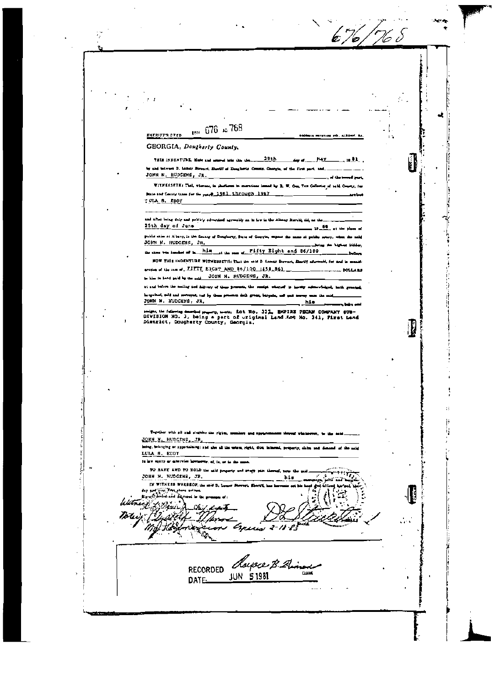$676/765$ V) A. d, ter 676 as 768  $\cdot$   $\vdots$ **EMERITE'S DEED**  $\mathbf{1}$ GEORGIA, Dougherty County. đ **HAY** an a by and between D. Lamar Bergert, Shortff of Desghavis County, Canryin, of the first part, as JOHN N. HUDGENS, JR. ۱i WITHESSETK: That, whermal, in photographs on more .<br>Marting St. W., Comp. Then Conference of such a C Base and County times for the paster 1961 Ehrough 1967 TULA 8. EDOY and after being duly and poblicly advertised agreeably as in law in the Almany Merald, did, on the 25th day of June  $10 - \frac{66}{3}$  at the public sales at Albany, in the County of Dengberry, State of Courgin, expens the name JOHN N. HUDGENS, JR. the start was knowned at in the hills. at the sea of Fifty Eight and 86/100 经营业 NOW THIS INDENTURE WITH ESSETH: That the next D Comer Bernst, Shortf after and, fan www.universe.com AND 86/100 1859.861 **DOLLARS** Ř in bond public car past. JOHN N. RUDGENS, JR.  $-3$ y ag and delivery of them presents, the semige of **et and** in restant, said and a ی <mark>شاه به سنامو سایل وا ک</mark>وه به .<br>M JOHN N. HUDGENS, JR.  $M<sub>0</sub>$ J. ₽ ŧ Ŕ Together with all and singular the rights, we ij JOHN N. HUDGENS, JR. Integ, belonging or sportalising; and also all the union, right, dids, interest, proj .<br>ماليا من أكثر الما rty, alaba and d LULA S. EDDY In how equity or atterview howevers, af, in, or in the su TO RATE AND TO HOLD the said property and enery  $+$ n $\vec{v}$ JOHN N. HUDGENS, JR. his. **ALC** IN WITNESS WHEREOF, the said B. Le ومحاربتين Æ ma antico مار میں مزید کے **Water** with Littlewin <u>ch</u> i di Tori uW  $\mathbf{r}$ **ANGE**  $2 - 18$ w dorper B.A. **RECORDED** ستہ **JUN 51981** DATE\_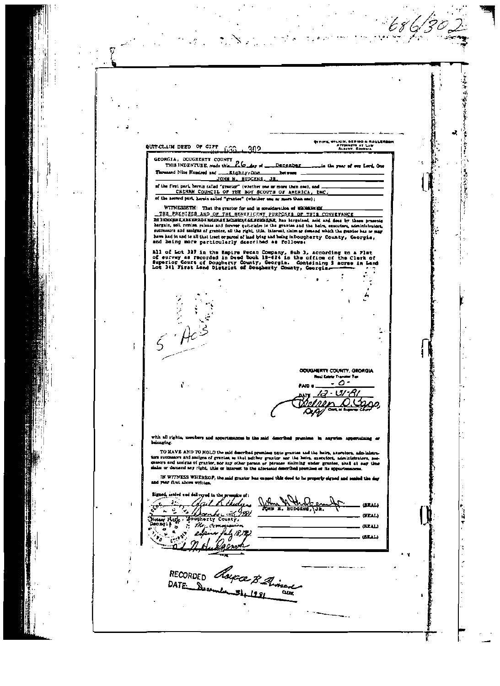G 医中国硬化学 J, KIN, BERISO A<br>Litometh at L<br>Albert, Beony **QUELER ST RAULERS**  $\sim$ QUIT-CLAIM DEED OF GIFT r.<br>Go 302 GEORGIA, DOUGHERTY COUNTY THIS INDENTURE, made this 26 Asy of \_ December is the year of our Lord, One Thousand Nine Hundred and. 医动脉管 医学 ممتدع بنظهلها **Det week** JOHN N. HUDGENS, JR. of the first part, herein called "granter" (whether one or more than enel, and ... of the second part, herein called "gruntes" (whether one or more than one); WITNESSETH: That the grantor for and in com**ideration of WMNHHK222** THE PREMISES AND OF THE BENEFICENT PURPOSES OF THIS CONVEYANCE<br>EXIMINING MELURES AND OF THE BENEFICENT PURPOSES OF THIS CONVEYANCE<br>EXIMINING MELURES AND OF THE BENEFICENT PURPOSES OF THIS CONVEYANCE<br>burgain, soli, remise, have had in and to all that tract or parel of had bing and being in bougherty County, Georgia,<br>and heing more particularly described as follows: All of Lot 327 in the Empire Pecan Company, Sub 3, according to a Flet<br>of survey as recorded in Deed Book 19-624 in the office of the Clerk of<br>superior Court of Dougherty County, Georgia. Containing 5 acree in Land<br>Lot 34  $\zeta$ **DOUGHERTY COUNTY, GEORGIA**  $\tilde{\boldsymbol{c}}$ r, 31 · R. with all rights, a there and appurtenances to the said described belonging. TO HAVE AND TO HOLD the said described premises unto prantes and the helrs, answerses, administrators, and analges of grantes, so that helpher granter set the helrs, exception, administrators, and context proposed or prant IN WITNESS WHEREOF, the said granter has caused this deed to be properly signed and so ed the day Mr first above written. Sign ŋ д.  $\mathbf{I}$ بتمكك **NUDGEN** ંગુ × : 9981 (FEAL) 咖啡 ऊ ň **GEAL** ່ະ 1P. **GEAL** RECORDED Charge of Armora DATE: Deer